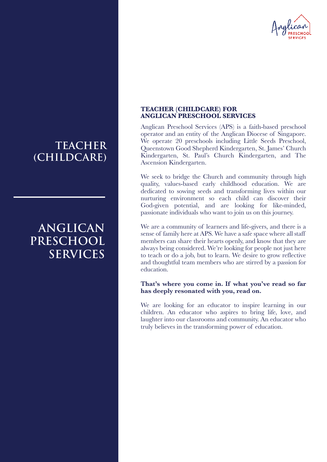

## **TEACHER (CHILDCARE)**

# **ANGLICAN PRESCHOOL SERVICES**

### **TEACHER (CHILDCARE) FOR ANGLICAN PRESCHOOL SERVICES**

Anglican Preschool Services (APS) is a faith-based preschool operator and an entity of the Anglican Diocese of Singapore. We operate 20 preschools including Little Seeds Preschool, Queenstown Good Shepherd Kindergarten, St. James' Church Kindergarten, St. Paul's Church Kindergarten, and The Ascension Kindergarten.

We seek to bridge the Church and community through high quality, values-based early childhood education. We are dedicated to sowing seeds and transforming lives within our nurturing environment so each child can discover their God-given potential, and are looking for like-minded, passionate individuals who want to join us on this journey.

We are a community of learners and life-givers, and there is a sense of family here at APS. We have a safe space where all staff members can share their hearts openly, and know that they are always being considered. We're looking for people not just here to teach or do a job, but to learn. We desire to grow reflective and thoughtful team members who are stirred by a passion for education.

### **That's where you come in. If what you've read so far has deeply resonated with you, read on.**

We are looking for an educator to inspire learning in our children. An educator who aspires to bring life, love, and laughter into our classrooms and community. An educator who truly believes in the transforming power of education.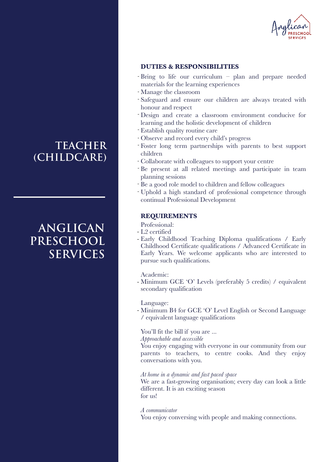

### **DUTIES & RESPONSIBILITIES**

- Bring to life our curriculum plan and prepare needed materials for the learning experiences
- Manage the classroom -
- Safeguard and ensure our children are always treated with honour and respect
- Design and create a classroom environment conducive for learning and the holistic development of children
- Establish quality routine care -
- Observe and record every child's progress -
- Foster long term partnerships with parents to best support children
- Collaborate with colleagues to support your centre
- Be present at all related meetings and participate in team planning sessions
- Be a good role model to children and fellow colleagues
- Uphold a high standard of professional competence through continual Professional Development

## **REQUIREMENTS**

Professional:

- L2 certified
- Early Childhood Teaching Diploma qualifications / Early Childhood Certificate qualifications / Advanced Certificate in Early Years. We welcome applicants who are interested to pursue such qualifications.

Academic:

- Minimum GCE 'O' Levels (preferably 5 credits) / equivalent secondary qualification

Language:

- Minimum B4 for GCE 'O' Level English or Second Language / equivalent language qualifications

### You'll fit the bill if you are ...

*Approachable and accessible*

You enjoy engaging with everyone in our community from our parents to teachers, to centre cooks. And they enjoy conversations with you.

#### *At home in a dynamic and fast paced space*

We are a fast-growing organisation; every day can look a little different. It is an exciting season for us!

*A communicator*

You enjoy conversing with people and making connections.

## **TEACHER (CHILDCARE)**

# **ANGLICAN PRESCHOOL SERVICES**